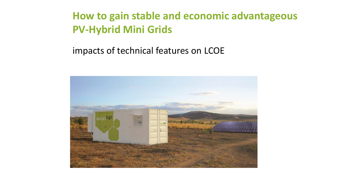# **How to gain stable and economic advantageous PV-Hybrid Mini Grids**

# impacts of technical features on LCOE

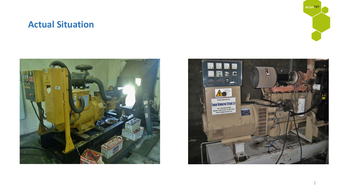# **Actual Situation**





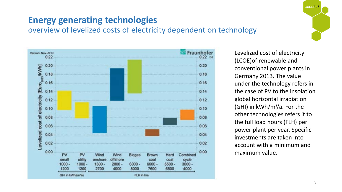# autarsys

# **Energy generating technologies**

overview of levelized costs of electricity dependent on technology



Levelized cost of electricity (LCOE)of renewable and conventional power plants in Germany 2013. The value under the technology refers in the case of PV to the insolation global horizontal irradiation (GHI) in kWh/m²/a. For the other technologies refers it to the full load hours (FLH) per power plant per year. Specific investments are taken into account with a minimum and maximum value.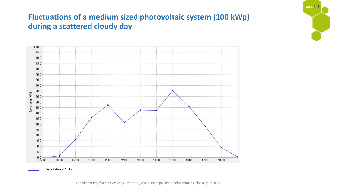# **Fluctuations of a medium sized photovoltaic system (100 kWp) during a scattered cloudy day**



autarsys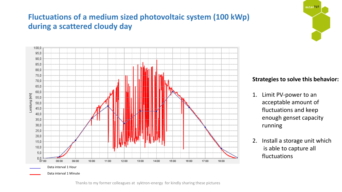# **Fluctuations of a medium sized photovoltaic system (100 kWp) during a scattered cloudy day**





#### **Strategies to solve this behavior:**

- 1. Limit PV-power to an acceptable amount of fluctuations and keep enough genset capacity running
- 2. Install a storage unit which is able to capture all fluctuations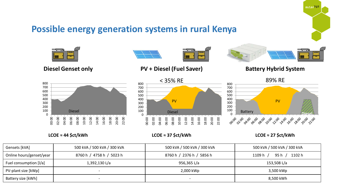# **Possible energy generation systems in rural Kenya**



**LCOE ≈ 44 \$ct/kWh**

**LCOE ≈ 37 \$ct/kWh**

**LCOE ≈ 27 \$ct/kWh**

autarSys

| Gensets [kVA]            | 500 kVA / 500 kVA / 300 kVA | 500 kVA / 500 kVA / 300 kVA | 500 kVA / 500 kVA / 300 kVA      |
|--------------------------|-----------------------------|-----------------------------|----------------------------------|
| Online hours/genset/year | 8760 h / 4758 h / 5023 h    | 8760 h / 2376 h / 5856 h    | 1102 h<br>1109 h $/$<br>95 h $/$ |
| Fuel consumption [I/a]   | 1,392,130 L/a               | 956,365 L/a                 | 153,508 L/a                      |
| PV-plant size [kWp]      |                             | 2,000 kWp                   | 3,500 kWp                        |
| Battery size [kWh]       |                             |                             | 8,500 kWh                        |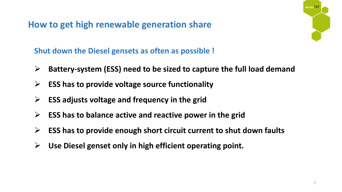**How to get high renewable generation share**

autarsys

**Shut down the Diesel gensets as often as possible !**

- **Battery-system (ESS) need to be sized to capture the full load demand**
- **ESS has to provide voltage source functionality**
- **ESS adjusts voltage and frequency in the grid**
- **ESS has to balance active and reactive power in the grid**
- **ESS has to provide enough short circuit current to shut down faults**
- **Use Diesel genset only in high efficient operating point.**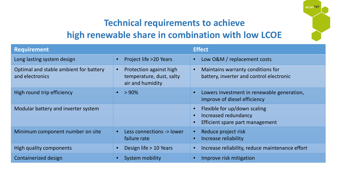# **Technical requirements to achieve high renewable share in combination with low LCOE**

autarsys

| <b>Requirement</b>                                        |                                                                                      | <b>Effect</b>                                                                                                          |
|-----------------------------------------------------------|--------------------------------------------------------------------------------------|------------------------------------------------------------------------------------------------------------------------|
| Long lasting system design                                | Project life >20 Years<br>$\bullet$                                                  | Low O&M / replacement costs<br>$\bullet$                                                                               |
| Optimal and stable ambient for battery<br>and electronics | Protection against high<br>$\bullet$<br>temperature, dust, salty<br>air and humidity | Maintains warranty conditions for<br>$\bullet$<br>battery, inverter and control electronic                             |
| High round trip efficiency                                | $>90\%$<br>$\bullet$                                                                 | Lowers investment in renewable generation,<br>$\bullet$<br>improve of diesel efficiency                                |
| Modular battery and inverter system                       |                                                                                      | Flexible for up/down scaling<br>$\bullet$<br>Increased redundancy<br>$\bullet$<br>Efficient spare part management<br>G |
| Minimum component number on site                          | Less connections -> lower<br>$\bullet$<br>failure rate                               | Reduce project risk<br>$\bullet$<br>Increase reliability                                                               |
| High quality components                                   | Design life > 10 Years                                                               | Increase reliability, reduce maintenance effort                                                                        |
| Containerized design                                      | <b>System mobility</b>                                                               | Improve risk mitigation                                                                                                |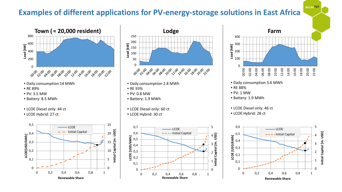## **Examples of different applications for PV-energy-storage solutions in East Africa**





autar<sup>sys</sup>

 $\Omega$ 

 $\sqrt{2}$ 

1

2

3

4

5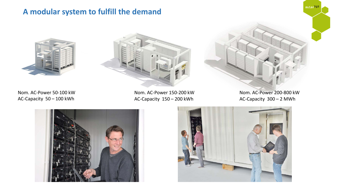### **A modular system to fulfill the demand**





Nom. AC-Power 50-100 kW AC-Capacity 50 – 100 kWh

Nom. AC-Power 150-200 kW AC-Capacity 150 – 200 kWh

Nom. AC-Power 200-800 kW AC-Capacity 300 – 2 MWh

autarsys